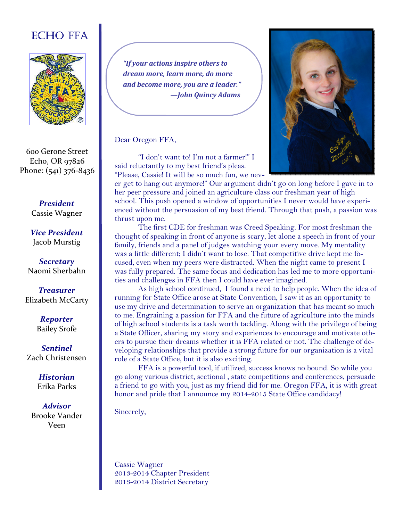# ECHO FFA



600 Gerone Street Echo, OR 97826 Phone: (541) 376-8436

> *President*  Cassie Wagner

*Vice President* Jacob Murstig

*Secretary*  Naomi Sherbahn

*Treasurer*  Elizabeth McCarty

> *Reporter* Bailey Srofe

*Sentinel* Zach Christensen

> *Historian* Erika Parks

*Advisor* Brooke Vander Veen

"If your actions inspire others to dream more, *learn* more, do more *and become more, you are a leader." —John Quincy Adams* 

Dear Oregon FFA,

 "I don't want to! I'm not a farmer!" I said reluctantly to my best friend's pleas. "Please, Cassie! It will be so much fun, we nev-



er get to hang out anymore!" Our argument didn't go on long before I gave in to her peer pressure and joined an agriculture class our freshman year of high school. This push opened a window of opportunities I never would have experienced without the persuasion of my best friend. Through that push, a passion was thrust upon me.

 The first CDE for freshman was Creed Speaking. For most freshman the thought of speaking in front of anyone is scary, let alone a speech in front of your family, friends and a panel of judges watching your every move. My mentality was a little different; I didn't want to lose. That competitive drive kept me focused, even when my peers were distracted. When the night came to present I was fully prepared. The same focus and dedication has led me to more opportunities and challenges in FFA then I could have ever imagined.

 As high school continued, I found a need to help people. When the idea of running for State Office arose at State Convention, I saw it as an opportunity to use my drive and determination to serve an organization that has meant so much to me. Engraining a passion for FFA and the future of agriculture into the minds of high school students is a task worth tackling. Along with the privilege of being a State Officer, sharing my story and experiences to encourage and motivate others to pursue their dreams whether it is FFA related or not. The challenge of developing relationships that provide a strong future for our organization is a vital role of a State Office, but it is also exciting.

 FFA is a powerful tool, if utilized, success knows no bound. So while you go along various district, sectional , state competitions and conferences, persuade a friend to go with you, just as my friend did for me. Oregon FFA, it is with great honor and pride that I announce my 2014-2015 State Office candidacy!

Sincerely,

Cassie Wagner 2013-2014 Chapter President 2013-2014 District Secretary